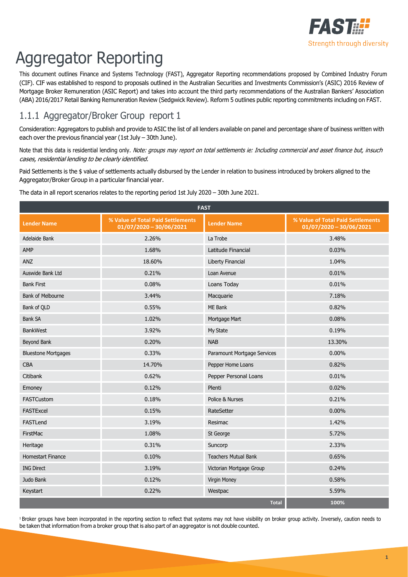

# Aggregator Reporting

This document outlines Finance and Systems Technology (FAST), Aggregator Reporting recommendations proposed by Combined Industry Forum (CIF). CIF was established to respond to proposals outlined in the Australian Securities and Investments Commission's (ASIC) 2016 Review of Mortgage Broker Remuneration (ASIC Report) and takes into account the third party recommendations of the Australian Bankers' Association (ABA) 2016/2017 Retail Banking Remuneration Review (Sedgwick Review). Reform 5 outlines public reporting commitments including on FAST.

### 1.1.1 Aggregator/Broker Group report 1

Consideration: Aggregators to publish and provide to ASIC the list of all lenders available on panel and percentage share of business written with each over the previous financial year (1st July – 30th June).

Note that this data is residential lending only. Note: groups may report on total settlements ie: Including commercial and asset finance but, insuch cases, residential lending to be clearly identified.

Paid Settlements is the \$ value of settlements actually disbursed by the Lender in relation to business introduced by brokers aligned to the Aggregator/Broker Group in a particular financial year.

The data in all report scenarios relates to the reporting period 1st July 2020 – 30th June 2021.

| <b>FAST</b>                |                                                                |                             |                                                                |  |
|----------------------------|----------------------------------------------------------------|-----------------------------|----------------------------------------------------------------|--|
| <b>Lender Name</b>         | % Value of Total Paid Settlements<br>$01/07/2020 - 30/06/2021$ | <b>Lender Name</b>          | % Value of Total Paid Settlements<br>$01/07/2020 - 30/06/2021$ |  |
| Adelaide Bank              | 2.26%                                                          | La Trobe                    | 3.48%                                                          |  |
| AMP                        | 1.68%                                                          | Latitude Financial          | 0.03%                                                          |  |
| <b>ANZ</b>                 | 18.60%                                                         | Liberty Financial           | 1.04%                                                          |  |
| Auswide Bank Ltd           | 0.21%                                                          | Loan Avenue                 | 0.01%                                                          |  |
| <b>Bank First</b>          | 0.08%                                                          | Loans Today                 | 0.01%                                                          |  |
| Bank of Melbourne          | 3.44%                                                          | Macquarie                   | 7.18%                                                          |  |
| Bank of QLD                | 0.55%                                                          | ME Bank                     | 0.82%                                                          |  |
| <b>Bank SA</b>             | 1.02%                                                          | Mortgage Mart               | 0.08%                                                          |  |
| <b>BankWest</b>            | 3.92%                                                          | My State                    | 0.19%                                                          |  |
| Beyond Bank                | 0.20%                                                          | <b>NAB</b>                  | 13.30%                                                         |  |
| <b>Bluestone Mortgages</b> | 0.33%                                                          | Paramount Mortgage Services | $0.00\%$                                                       |  |
| <b>CBA</b>                 | 14.70%                                                         | Pepper Home Loans           | 0.82%                                                          |  |
| Citibank                   | 0.62%                                                          | Pepper Personal Loans       | 0.01%                                                          |  |
| Emoney                     | 0.12%                                                          | Plenti                      | 0.02%                                                          |  |
| FASTCustom                 | 0.18%                                                          | Police & Nurses             | 0.21%                                                          |  |
| <b>FASTExcel</b>           | 0.15%                                                          | RateSetter                  | $0.00\%$                                                       |  |
| FASTLend                   | 3.19%                                                          | Resimac                     | 1.42%                                                          |  |
| FirstMac                   | 1.08%                                                          | St George                   | 5.72%                                                          |  |
| Heritage                   | 0.31%                                                          | Suncorp                     | 2.33%                                                          |  |
| <b>Homestart Finance</b>   | 0.10%                                                          | <b>Teachers Mutual Bank</b> | 0.65%                                                          |  |
| <b>ING Direct</b>          | 3.19%                                                          | Victorian Mortgage Group    | 0.24%                                                          |  |
| Judo Bank                  | 0.12%                                                          | Virgin Money                | 0.58%                                                          |  |
| Keystart                   | 0.22%                                                          | Westpac                     | 5.59%                                                          |  |
|                            |                                                                | <b>Total</b>                | 100%                                                           |  |

<sup>1</sup> Broker groups have been incorporated in the reporting section to reflect that systems may not have visibility on broker group activity. Inversely, caution needs to be taken that information from a broker group that is also part of an aggregator is not double counted.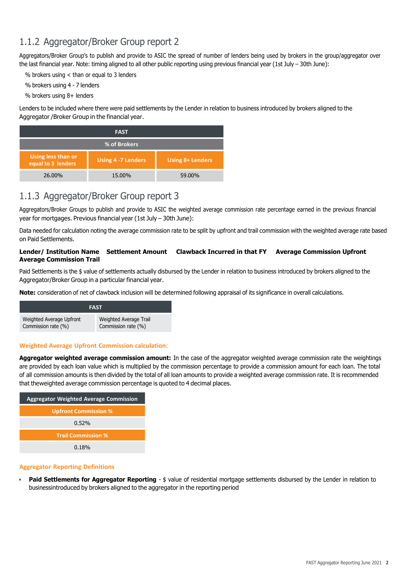### 1.1.2 Aggregator/Broker Group report 2

Aggregators/Broker Group's to publish and provide to ASIC the spread of number of lenders being used by brokers in the group/aggregator over the last financial year. Note: timing aligned to all other public reporting using previous financial year (1st July - 30th June):

% brokers using < than or equal to 3 lenders

% brokers using 4 - 7 lenders

% brokers using 8+ lenders

Lenders to be included where there were paid settlements by the Lender in relation to business introduced by brokers aligned to the Aggregator /Broker Group in the financial year.

| <b>FAST</b>                              |                     |                         |  |  |
|------------------------------------------|---------------------|-------------------------|--|--|
| % of Brokers                             |                     |                         |  |  |
| Using less than or<br>equal to 3 lenders | Using 4 - 7 Lenders | <b>Using 8+ Lenders</b> |  |  |
| 26.00%                                   | 15.00%              | 59.00%                  |  |  |

### 1.1.3 Aggregator/Broker Group report 3

Aggregators/Broker Groups to publish and provide to ASIC the weighted average commission rate percentage earned in the previous financial year for mortgages. Previous financial year (1st July – 30th June):

Data needed for calculation noting the average commission rate to be split by upfront and trail commission with the weighted average rate based on Paid Settlements.

#### **Lender/ Institution Name Settlement Amount Clawback Incurred in that FY Average Commission Upfront Average Commission Trail**

Paid Settlements is the \$ value of settlements actually disbursed by the Lender in relation to business introduced by brokers aligned to the Aggregator/Broker Group in a particular financial year.

**Note:** consideration of net of clawback inclusion will be determined following appraisal of its significance in overall calculations.



#### **Weighted Average Upfront Commission calculation:**

**Aggregator weighted average commission amount:** In the case of the aggregator weighted average commission rate the weightings are provided by each loan value which is multiplied by the commission percentage to provide a commission amount for each loan. The total of all commission amounts is then divided by the total of all loan amounts to provide a weighted average commission rate. It is recommended that theweighted average commission percentage is quoted to 4 decimal places.

| <b>Aggregator Weighted Average Commission</b> |  |  |
|-----------------------------------------------|--|--|
| <b>Upfront Commission %</b>                   |  |  |
| $0.52\%$                                      |  |  |
| <b>Trail Commission %</b>                     |  |  |
| 0.18%                                         |  |  |

#### **Aggregator Reporting Definitions**

• **Paid Settlements for Aggregator Reporting** - \$ value of residential mortgage settlements disbursed by the Lender in relation to businessintroduced by brokers aligned to the aggregator in the reporting period